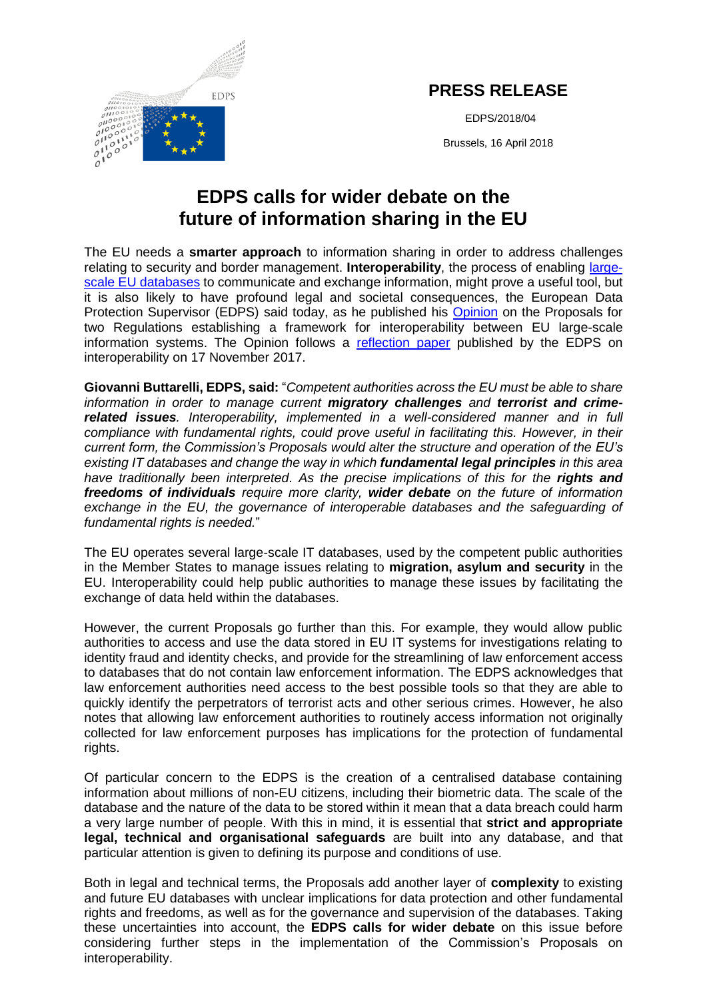

## **PRESS RELEASE**

EDPS/2018/04

Brussels, 16 April 2018

## **EDPS calls for wider debate on the future of information sharing in the EU**

The EU needs a **smarter approach** to information sharing in order to address challenges relating to security and border management. **Interoperability**, the process of enabling [large](https://edps.europa.eu/node/3105#large_scale_it-systems)[scale EU databases](https://edps.europa.eu/node/3105#large_scale_it-systems) to communicate and exchange information, might prove a useful tool, but it is also likely to have profound legal and societal consequences, the European Data Protection Supervisor (EDPS) said today, as he published his [Opinion](https://edps.europa.eu/sites/edp/files/publication/2018-04-16_interoperability_opinion_en.pdf) on the Proposals for two Regulations establishing a framework for interoperability between EU large-scale information systems. The Opinion follows a [reflection paper](https://edps.europa.eu/sites/edp/files/publication/17-11-16_opinion_interoperability_en.pdf) published by the EDPS on interoperability on 17 November 2017.

**Giovanni Buttarelli, EDPS, said:** "*Competent authorities across the EU must be able to share information in order to manage current migratory challenges and terrorist and crimerelated issues. Interoperability, implemented in a well-considered manner and in full compliance with fundamental rights, could prove useful in facilitating this. However, in their current form, the Commission's Proposals would alter the structure and operation of the EU's existing IT databases and change the way in which fundamental legal principles in this area have traditionally been interpreted*. *As the precise implications of this for the rights and freedoms of individuals require more clarity, wider debate on the future of information*  exchange in the EU, the governance of interoperable databases and the safeguarding of *fundamental rights is needed.*"

The EU operates several large-scale IT databases, used by the competent public authorities in the Member States to manage issues relating to **migration, asylum and security** in the EU. Interoperability could help public authorities to manage these issues by facilitating the exchange of data held within the databases.

However, the current Proposals go further than this. For example, they would allow public authorities to access and use the data stored in EU IT systems for investigations relating to identity fraud and identity checks, and provide for the streamlining of law enforcement access to databases that do not contain law enforcement information. The EDPS acknowledges that law enforcement authorities need access to the best possible tools so that they are able to quickly identify the perpetrators of terrorist acts and other serious crimes. However, he also notes that allowing law enforcement authorities to routinely access information not originally collected for law enforcement purposes has implications for the protection of fundamental rights.

Of particular concern to the EDPS is the creation of a centralised database containing information about millions of non-EU citizens, including their biometric data. The scale of the database and the nature of the data to be stored within it mean that a data breach could harm a very large number of people. With this in mind, it is essential that **strict and appropriate legal, technical and organisational safeguards** are built into any database, and that particular attention is given to defining its purpose and conditions of use.

Both in legal and technical terms, the Proposals add another layer of **complexity** to existing and future EU databases with unclear implications for data protection and other fundamental rights and freedoms, as well as for the governance and supervision of the databases. Taking these uncertainties into account, the **EDPS calls for wider debate** on this issue before considering further steps in the implementation of the Commission's Proposals on interoperability.